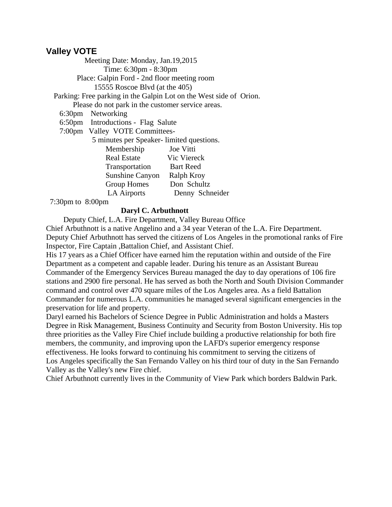## **Valley VOTE**

Meeting Date: Monday, Jan.19,2015 Time: 6:30pm - 8:30pm Place: Galpin Ford - 2nd floor meeting room 15555 Roscoe Blvd (at the 405) Parking: Free parking in the Galpin Lot on the West side of Orion. Please do not park in the customer service areas. 6:30pm Networking 6:50pm Introductions - Flag Salute 7:00pm Valley VOTE Committees- 5 minutes per Speaker- limited questions. Membership Joe Vitti Real Estate Vic Viereck Transportation Bart Reed Sunshine Canyon Ralph Kroy Group Homes Don Schultz LA Airports Denny Schneider

7:30pm to 8:00pm

## **Daryl C. Arbuthnott**

Deputy Chief, L.A. Fire Department, Valley Bureau Office

Chief Arbuthnott is a native Angelino and a 34 year Veteran of the L.A. Fire Department. Deputy Chief Arbuthnott has served the citizens of Los Angeles in the promotional ranks of Fire Inspector, Fire Captain ,Battalion Chief, and Assistant Chief.

His 17 years as a Chief Officer have earned him the reputation within and outside of the Fire Department as a competent and capable leader. During his tenure as an Assistant Bureau Commander of the Emergency Services Bureau managed the day to day operations of 106 fire stations and 2900 fire personal. He has served as both the North and South Division Commander command and control over 470 square miles of the Los Angeles area. As a field Battalion Commander for numerous L.A. communities he managed several significant emergencies in the preservation for life and property.

Daryl earned his Bachelors of Science Degree in Public Administration and holds a Masters Degree in Risk Management, Business Continuity and Security from Boston University. His top three priorities as the Valley Fire Chief include building a productive relationship for both fire members, the community, and improving upon the LAFD's superior emergency response effectiveness. He looks forward to continuing his commitment to serving the citizens of Los Angeles specifically the San Fernando Valley on his third tour of duty in the San Fernando Valley as the Valley's new Fire chief.

Chief Arbuthnott currently lives in the Community of View Park which borders Baldwin Park.